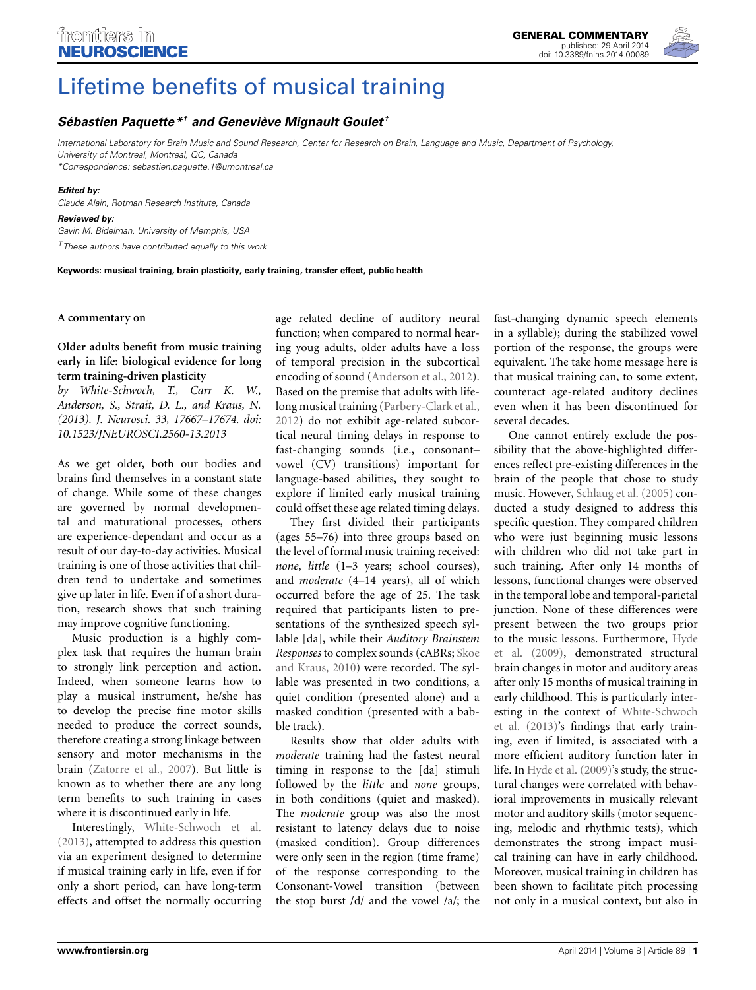

# [Lifetime benefits of musical training](http://www.frontiersin.org/journal/10.3389/fnins.2014.00089/full)

# *[Sébastien Paquette](http://community.frontiersin.org/people/u/64214)\*† and [Geneviève Mignault Goulet](http://community.frontiersin.org/people/u/118823) †*

*International Laboratory for Brain Music and Sound Research, Center for Research on Brain, Language and Music, Department of Psychology, University of Montreal, Montreal, QC, Canada*

*\*Correspondence: sebastien.paquette.1@umontreal.ca*

## *Edited by:*

*Claude Alain, Rotman Research Institute, Canada*

#### *Reviewed by:*

*Gavin M. Bidelman, University of Memphis, USA †These authors have contributed equally to this work*

**Keywords: musical training, brain plasticity, early training, transfer effect, public health**

## **A commentary on**

## **Older adults benefit from music training early in life: biological evidence for long term training-driven plasticity**

*by White-Schwoch, T., Carr K. W., Anderson, S., Strait, D. L., and Kraus, N. (2013). J. Neurosci. 33, 17667–17674. doi: 10.1523/JNEUROSCI.2560-13.2013*

As we get older, both our bodies and brains find themselves in a constant state of change. While some of these changes are governed by normal developmental and maturational processes, others are experience-dependant and occur as a result of our day-to-day activities. Musical training is one of those activities that children tend to undertake and sometimes give up later in life. Even if of a short duration, research shows that such training may improve cognitive functioning.

Music production is a highly complex task that requires the human brain to strongly link perception and action. Indeed, when someone learns how to play a musical instrument, he/she has to develop the precise fine motor skills needed to produce the correct sounds, therefore creating a strong linkage between sensory and motor mechanisms in the brain [\(Zatorre et al., 2007\)](#page-1-0). But little is known as to whether there are any long term benefits to such training in cases where it is discontinued early in life.

Interestingly, [White-Schwoch et al.](#page-1-1) [\(2013\)](#page-1-1), attempted to address this question via an experiment designed to determine if musical training early in life, even if for only a short period, can have long-term effects and offset the normally occurring

age related decline of auditory neural function; when compared to normal hearing youg adults, older adults have a loss of temporal precision in the subcortical encoding of sound [\(Anderson et al., 2012](#page-1-2)). Based on the premise that adults with lifelong musical training [\(Parbery-Clark et al.,](#page-1-3) [2012](#page-1-3)) do not exhibit age-related subcortical neural timing delays in response to fast-changing sounds (i.e., consonant– vowel (CV) transitions) important for language-based abilities, they sought to explore if limited early musical training could offset these age related timing delays.

They first divided their participants (ages 55–76) into three groups based on the level of formal music training received: *none*, *little* (1–3 years; school courses), and *moderate* (4–14 years), all of which occurred before the age of 25. The task required that participants listen to presentations of the synthesized speech syllable [da], while their *Auditory Brainstem Responses* [to complex sounds \(cABRs;](#page-1-4) Skoe and Kraus, [2010](#page-1-4)) were recorded. The syllable was presented in two conditions, a quiet condition (presented alone) and a masked condition (presented with a babble track).

Results show that older adults with *moderate* training had the fastest neural timing in response to the [da] stimuli followed by the *little* and *none* groups, in both conditions (quiet and masked). The *moderate* group was also the most resistant to latency delays due to noise (masked condition). Group differences were only seen in the region (time frame) of the response corresponding to the Consonant-Vowel transition (between the stop burst /d/ and the vowel /a/; the

fast-changing dynamic speech elements in a syllable); during the stabilized vowel portion of the response, the groups were equivalent. The take home message here is that musical training can, to some extent, counteract age-related auditory declines even when it has been discontinued for several decades.

One cannot entirely exclude the possibility that the above-highlighted differences reflect pre-existing differences in the brain of the people that chose to study music. However, [Schlaug et al.](#page-1-5) [\(2005\)](#page-1-5) conducted a study designed to address this specific question. They compared children who were just beginning music lessons with children who did not take part in such training. After only 14 months of lessons, functional changes were observed in the temporal lobe and temporal-parietal junction. None of these differences were present between the two groups prior to th[e](#page-1-6) [music](#page-1-6) [lessons.](#page-1-6) [Furthermore,](#page-1-6) Hyde et al. [\(2009](#page-1-6)), demonstrated structural brain changes in motor and auditory areas after only 15 months of musical training in early childhood. This is particularly interestin[g in the context of](#page-1-1) White-Schwoch et al. [\(2013](#page-1-1))'s findings that early training, even if limited, is associated with a more efficient auditory function later in life. In [Hyde et al.](#page-1-6) [\(2009\)](#page-1-6)'s study, the structural changes were correlated with behavioral improvements in musically relevant motor and auditory skills (motor sequencing, melodic and rhythmic tests), which demonstrates the strong impact musical training can have in early childhood. Moreover, musical training in children has been shown to facilitate pitch processing not only in a musical context, but also in